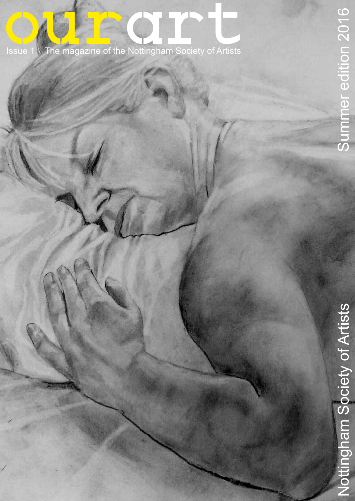# **ourart Editor Courart Engine Society of Artists**<br>Issue 1 The magazine of the Nottingham Society of Artists

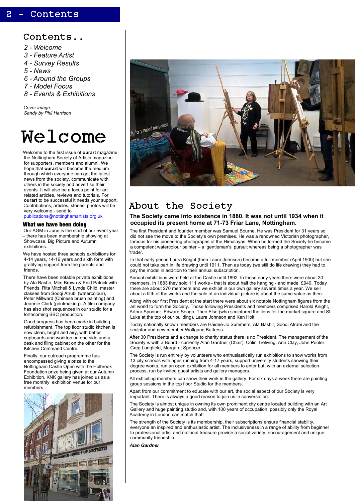## 2 - Contents

# Welcome

Welcome to the first issue of **ourart** magazine, the Nottingham Society of Artists magazine for supporters, members and alumni. We hope that **ourart** will become the medium through which everyone can get the latest news from the society, communicate with others in the society and advertise their events. It will also be a focus point for art related articles, reviews and tutorials. For **ourart** to be successful it needs your support. Contributions, articles, stories, photos will be very welcome - send to

[publications@nottinghamartists.org.uk](mailto:publications@nottinghamartists.org.uk)

#### **What we have been doing**

Our AGM in June is the start of our event year – there has been membership showing at Showcase, Big Picture and Autumn exhibitions.

We have hosted three schools exhibitions for 4-14 years, 14-16 years and sixth form with gratifying support from the parents and friends.

There have been notable private exhibitions by Ala Bashir, Mim Brown & Enid Patrick with Friends, Rita Mitchell & Lynda Child, master classes from Sooqi Atrubi (watercolour), Peter Millward (Chinese brush painting) and Jeannie Clark (printmaking). A film company has also shot sequences in our studio for a forthcoming BBC production.

Good progress has been made in building refurbishment. The top floor studio kitchen is now clean, bright and airy, with better cupboards and worktop on one side and a desk and filing cabinet on the other for the Kitchen Command Centre.

Finally, our outreach programme has encompassed giving a prize to the Nottingham Castle Open with the Holbrook Foundation prize being given at our Autumn Exhibition. KNK gallery has joined us as a



free monthly exhibition venue for our members .



# About the Society

#### **The Society came into existence in 1880. It was not until 1934 when it occupied its present home at 71-73 Friar Lane, Nottingham.**

The first President and founder member was Samuel Bourne. He was President for 31 years so did not see the move to the Society's own premises. He was a renowned Victorian photographer, famous for his pioneering photographs of the Himalayas. When he formed the Society he became a competent watercolour painter – a 'gentleman's' pursuit whereas being a photographer was 'trade'.

In that early period Laura Knight (then Laura Johnson) became a full member (April 1900) but she could not take part in life drawing until 1911. Then as today (we still do life drawing) they had to pay the model in addition to their annual subscription.

Annual exhibitions were held at the Castle until 1892. In those early years there were about 30 members. In 1883 they sold 111 works - that is about half the hanging - and made £940. Today there are about 270 members and we exhibit in our own gallery several times a year. We sell about a fifth of the works and the sale of an individual picture is about the same value as then.

Along with our first President at the start there were about six notable Nottingham figures from the art world to form the Society. Those following Presidents and members comprised Harold Knight, Arthur Spooner, Edward Seago, Theo Else (who sculptured the lions for the market square and St Luke at the top of our building), Laura Johnson and Ken Holt.

Today nationally known members are Haidee-Jo Summers, Ala Bashir, Sooqi Atrabi and the sculptor and new member Wolfgang Buttress.

After 30 Presidents and a change to charity status there is no President. The management of the Society is with a Board - currently Alan Gardner (Chair), Colin Treliving, Ann Clay, John Pooler. Greg Langfield, Margaret Spencer.

The Society is run entirely by volunteers who enthusiastically run exhibitions to show works from 13 city schools with ages running from 4-17 years, support university students showing their degree works, run an open exhibition for all members to enter but, with an external selection process, run by invited guest artists and gallery managers.

All exhibiting members can show their work in the gallery. For six days a week there are painting group sessions in the top floor Studio for the members.

Apart from our commitment to educate with our art, the social aspect of our Society is very important. There is always a good reason to join us in conversation.

The Society is almost unique in owning its own prominent city centre located building with an Art Gallery and huge painting studio and, with 100 years of occupation, possibly only the Royal Academy in London can match that!

The strength of the Society is its membership, their subscriptions ensure financial stability, everyone an inspired and enthusiastic artist. The inclusiveness in a range of ability from beginner to professional artist and national treasure provide a social variety, encouragement and unique community friendship.

*Alan Gardner*

*Cover image: Sandy by Phil Harrison*

## Contents..

- *2 Welcome*
- *3 Feature Artist*
- *4 Survey Results*
- *5 News*
- *6 Around the Groups*
- *7 Model Focus*
- *8 Events & Exhibitions*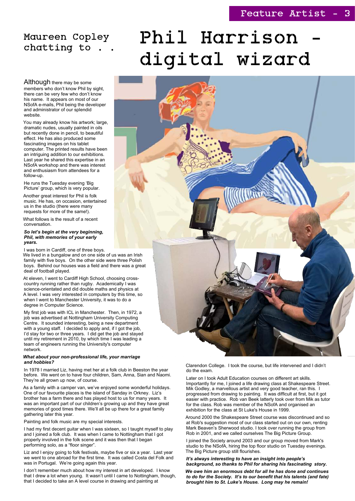# Phil Harrison digital wizard



Although there may be some members who don't know Phil by sight, there can be very few who don't know his name. It appears on most of our NSofA e-mails, Phil being the developer and administrator of our splendid website.

You may already know his artwork; large, dramatic nudes, usually painted in oils but recently done in pencil, to beautiful effect. He has also produced some fascinating images on his tablet computer. The printed results have been an intriguing addition to our exhibitions. Last year he shared this expertise in an NSofA workshop and there was interest and enthusiasm from attendees for a follow-up.

He runs the Tuesday evening 'Big Picture' group, which is very popular.

Another great interest for Phil is folk music. He has, on occasion, entertained us in the studio (there were many requests for more of the same!).

What follows is the result of a recent conversation.

*So let's begin at the very beginning, Phil, with memories of your early years.*

I was born in Cardiff, one of three boys.

We lived in a bungalow and on one side of us was an Irish family with five boys. On the other side were three Polish boys. Behind our houses was a field and there was a great deal of football played.

At eleven, I went to Cardiff High School, choosing crosscountry running rather than rugby. Academically I was science-orientated and did double maths and physics at A level. I was very interested in computers by this time, so when I went to Manchester University, it was to do a degree in Computer Science.

My first job was with ICL in Manchester. Then, in 1972, a job was advertised at Nottingham University Computing Centre. It sounded interesting, being a new department with a young staff. I decided to apply and, if I got the job, I'd stay for two or three years. I did get the job and stayed until my retirement in 2010, by which time I was leading a team of engineers running the University's computer network.

#### *What about your non-professional life, your marriage and hobbies?*

In 1978 I married Liz, having met her at a folk club in Beeston the year before. We went on to have four children, Sam, Anna, Sian and Naomi.

They're all grown up now, of course.

# Maureen Copley chatting to

As a family with a camper van, we've enjoyed some wonderful holidays. One of our favourite places is the island of Sanday in Orkney. Liz's brother has a farm there and has played host to us for many years. It was an important part of our children's growing up and they have great memories of good times there. We'll all be up there for a great family gathering later this year.

Painting and folk music are my special interests.

I had my first decent guitar when I was sixteen, so I taught myself to play and I joined a folk club. It was when I came to Nottingham that I got properly involved in the folk scene and it was then that I began performing solo, as a "floor singer".

Liz and I enjoy going to folk festivals, maybe five or six a year. Last year we went to one abroad for the first time. It was called Costa del Folk and was in Portugal. We're going again this year.

I don't remember much about how my interest in art developed. I know that I drew a lot when young. It wasn't until I came to Nottingham, though, that I decided to take an A level course in drawing and painting at

Clarendon College. I took the course, but life intervened and I didn't do the exam.

Later on I took Adult Education courses on different art skills. Importantly for me, I joined a life drawing class at Shakespeare Street. Mik Godley, a marvellous artist and very good teacher, ran this. I progressed from drawing to painting. It was difficult at first, but it got easier with practice. Rob van Beek latterly took over from Mik as tutor for the class. Rob was member of the NSofA and organised an exhibition for the class at St Luke's House in 1999.

Around 2000 the Shakespeare Street course was discontinued and so at Rob's suggestion most of our class started out on our own, renting Mark Beaven's Sherwood studio. I took over running the group from Rob in 2001, and we called ourselves The Big Picture Group.

I joined the Society around 2003 and our group moved from Mark's studio to the NSofA, hiring the top floor studio on Tuesday evenings. The Big Picture group still flourishes.

*It's always interesting to have an insight into people's background, so thanks to Phil for sharing his fascinating story.*

*We owe him an enormous debt for all he has done and continues to do for the Society. It's to our benefit that his talents (and fate) brought him to St. Luke's House. Long may he remain!*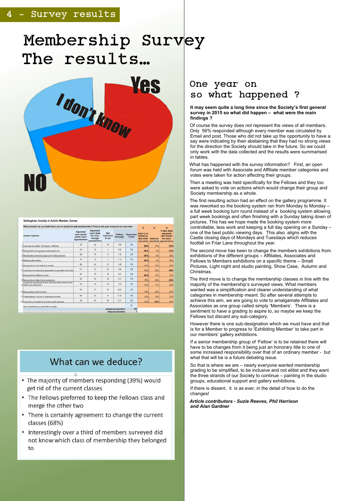## Survey results

# Membership Survey The results…



| What benefits do you think there are or should be with membership? Please bck your response to each dem- |                                                          |                                                                        |                                  |                    |                   | ×                                                                 | 旡         | œ.                                                                                      |
|----------------------------------------------------------------------------------------------------------|----------------------------------------------------------|------------------------------------------------------------------------|----------------------------------|--------------------|-------------------|-------------------------------------------------------------------|-----------|-----------------------------------------------------------------------------------------|
| <b>Answer Options</b>                                                                                    | Important<br>hlumu i bas<br>preder more<br>opportunities | <b>Important</b><br>and I think.<br>we have<br>enough<br>opportunities | Not<br><b>Important</b><br>to me | Rating<br>Aversign | Никролян<br>Count | hotal % of<br><i>members</i> .<br>white think<br><i>important</i> | think not | % who think<br><i>important</i><br>and should<br>bas mores<br>imports it opportunities: |
| 1 Learning new skills, techniques, art forms                                                             | 72                                                       | 42                                                                     | 18                               | 159                | 132               | 86%                                                               | 14%       | 55%                                                                                     |
| 2 Being able to join groups and practice art                                                             | 36                                                       | $\mathbb{Z}$                                                           | ¥                                | 1.62               | 136               | 56%                                                               | 4%        | 43%                                                                                     |
| 3) Meeting like minded people and making friends-                                                        | 49                                                       | 76                                                                     | $\mathbf{H}$                     | 1.72               | 136               | 92%                                                               | IE.       | 35%                                                                                     |
| 4 Meeting other artists                                                                                  | 44                                                       | 寓                                                                      | ×                                | 122                | 1301              | 54%                                                               | 作品        | 34%                                                                                     |
| ElBeing able to work with twe models.                                                                    | 48                                                       | 64                                                                     | 21                               | 1.80               | 133               | 54%                                                               | 16%       | 36%                                                                                     |
| cit earning more about an generally through talks and visital                                            | $-51$                                                    | 52                                                                     | 26                               | 1.80               | 128               | <b>BOTH</b>                                                       | 20%       | 40%                                                                                     |
| /Being able to exhibit my work                                                                           | 44                                                       | 70                                                                     | 19                               | 1.81               | 333               | 86%                                                               | 14%       | 33%                                                                                     |
| 8 Being able to attend demonstrations                                                                    | 58                                                       | 30                                                                     | 53                               | 185                | 130               | 75%                                                               | 25%       | 45%                                                                                     |
| Having an opportunity to find out more about and be part.<br>Hot he local art scene                      | 临                                                        | 69                                                                     | 22                               | 1.82               | 126               | 83%                                                               | 17%       | 36%                                                                                     |
| 10 Being able to sell my work.                                                                           | 36                                                       | 57                                                                     | 38                               | 202                | 132               | 70%                                                               | 30%       | 27%                                                                                     |
| 11 Participating in social or networking events                                                          | 29                                                       | 55                                                                     | 補                                | 2.10               | 125               | 67%                                                               | STYS:     | 23%                                                                                     |
| 12 Promotion of rsysalt as an artist via the website                                                     | 30                                                       | 24                                                                     | 68                               | 2.31               | 122               | 44%                                                               | 56%       | 25%                                                                                     |

# What can we deduce?

A

#### **It may seem quite a long time since the Society's first general survey in 2015 so what did happen – what were the main findings ?**

What has happened with the survey information? First, an open forum was held with Associate and Affiliate member categories and votes were taken for action affecting their groups.

Of course the survey does not represent the views of all members. Only 56% responded although every member was circulated by Email and post. Those who did not take up the opportunity to have a say were indicating by their abstaining that they had no strong views for the direction the Society should take in the future. So we could only work with the data collected and the results were summarised in tables.

Then a meeting was held specifically for the Fellows and they too were asked to vote on actions which would change their group and Society membership as a whole.

The first resulting action had an effect on the gallery programme. It was reworked so the booking system ran from Monday to Monday – a full week booking turn round instead of a booking system allowing part week bookings and often finishing with a Sunday taking down of pictures. This has we hope made the booking system more controllable, less work and keeping a full day opening on a Sunday – one of the best public viewing days. This also aligns with the Castle closing days of Mondays and Tuesdays which reduces footfall on Friar Lane throughout the year.

The second move has been to change the members exhibitions from exhibitions of the different groups – Affiliates, Associates and Fellows to Members exhibitions on a specific theme – Small Pictures, Light night and studio painting, Show Case, Autumn and Christmas.

The third move is to change the membership classes in line with the majority of the membership's surveyed views. What members wanted was a simplification and clearer understanding of what categories in membership meant. So after several attempts to achieve this aim, we are going to vote to amalgamate Affiliates and Associates as one group called simply 'Members'. There is a sentiment to have a grading to aspire to, so maybe we keep the Fellows but discard any sub-category.

However there is one sub-designation which we must have and that is for a Member to progress to 'Exhibiting Member' to take part in our members' gallery exhibitions.

If a senior membership group of 'Fellow' is to be retained there will have to be changes from it being just an honorary title to one of some increased responsibility over that of an ordinary member - but what that will be is a future debating issue.

So that is where we are – nearly everyone wanted membership grading to be simplified, to be inclusive and not elitist and they want the three strands of our Society to continue – painting in the studio groups, educational support and gallery exhibitions. If there is dissent, it is as ever, in the detail of how to do the changes!

- The majority of members responding (39%) would get rid of the current classes
- The Fellows preferred to keep the Fellows class and merge the other two
- There is certainly agreement to change the current classes (68%)
- Interestingly over a third of members surveyed did not know which class of membership they belonged to

*Article contributors - Suzie Reeves, Phil Harrison and Alan Gardner*

# One year on so what happened ?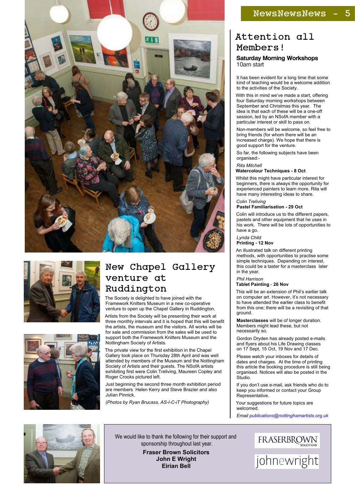# Attention all Members!

#### **Saturday Morning Workshops** 10am start

It has been evident for a long time that some kind of teaching would be a welcome addition to the activities of the Society.

With this in mind we've made a start, offering four Saturday morning workshops between September and Christmas this year. The idea is that each of these will be a one-off session, led by an NSofA member with a particular interest or skill to pass on.

Non-members will be welcome, so feel free to bring friends (for whom there will be an increased charge). We hope that there is good support for the venture.

So far, the following subjects have been organised:-

#### *Rita Mitchell*

#### **Watercolour Techniques - 8 Oct**

Whilst this might have particular interest for beginners, there is always the opportunity for experienced painters to learn more. Rita will have many interesting ideas to share.

#### *Colin Treliving* **Pastel Familiarisation - 29 Oct**

Colin will introduce us to the different papers, pastels and other equipment that he uses in his work. There will be lots of opportunities to have a go.

#### *Lynda Child* **Printing - 12 Nov**

An illustrated talk on different printing methods, with opportunities to practise some simple techniques. Depending on interest, this could be a taster for a masterclass later in the year.

#### *Phil Harrison* **Tablet Painting** - **26 Nov**

This will be an extension of Phil's earlier talk on computer art. However, it's not necessary to have attended the earlier class to benefit from this one; there will be a revisiting of that ground.

**Masterclasses** will be of longer duration. Members might lead these, but not necessarily so.

Gordon Dryden has already posted e-mails and flyers about his Life Drawing classes on 17 Sept, 15 Oct, 19 Nov and 17 Dec.

Please watch your inboxes for details of dates and charges. At the time of printing this article the booking procedure is still being organised. Notices will also be posted in the Studio.

If you don't use e-mail, ask friends who do to keep you informed or contact your Group Representative.

Your suggestions for future topics are welcomed.

*Email [publications@nottinghamartists.org.uk](mailto:publications@nottinghamartists.org.uk)*









# New Chapel Gallery venture at Ruddington

The Society is delighted to have joined with the Framework Knitters Museum in a new co-operative venture to open up the Chapel Gallery in Ruddington.

Artists from the Society will be presenting their work at three monthly intervals and it is hoped that this will benefit the artists, the museum and the visitors. All works will be for sale and commission from the sales will be used to support both the Framework Knitters Museum and the Nottingham Society of Artists.

The private view for the first exhibition in the Chapel Gallery took place on Thursday 28th April and was well attended by members of the Museum and the Nottingham Society of Artists and their guests. The NSofA artists exhibiting first were Colin Treliving, Maureen Copley and Roger Crooks pictured left.

## NewsNewsNews

Just beginning the second three month exhibition period are members Helen Kerry and Steve Brazier and also Julian Pinnick.

*(Photos by Ryan Brucass, AS-I-C-iT Photography)*

We would like to thank the following for their support and sponsorship throughout last year. **Fraser Brown Solicitors John E Wright Eirian Bell**

FRASERBROWN

johnewright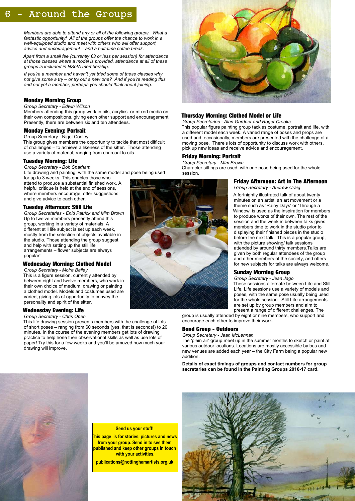# 6 - Around the Groups

#### **Thursday Morning: Clothed Model or Life**

*Group Secretaries - Alan Gardner and Roger Crooks* This popular figure painting group tackles costume, portrait and life, with a different model each week. A varied range of poses and props are used and, occasionally, members are presented with the challenge of a moving pose. There's lots of opportunity to discuss work with others, pick up new ideas and receive advice and encouragement.

#### **Friday Morning: Portrait**

#### *Group Secretary - Mim Brown*

Character sittings are used, with one pose being used for the whole session.

#### **Friday Afternoon: Art In The Afternoon**

*Group Secretary - Andrew Craig*

A fortnightly illustrated talk of about twenty minutes on an artist, an art movement or a theme such as 'Rainy Days' or 'Through a Window' is used as the inspiration for members to produce works of their own. The rest of the session and the week in between talks gives members time to work in the studio prior to displaying their finished pieces in the studio before the next talk. This is a popular group, with the picture showing/ talk sessions attended by around thirty members.Talks are given by both regular attendees of the group and other members of the society, and offers for new subjects for talks are always welcome.

#### **Sunday Morning Group**

*Group Secretary - Jean Jago*

These sessions alternate between Life and Still Life. Life sessions use a variety of models and poses, with the same pose usually being used for the whole session. Still Life arrangements are set up by group members and aim to present a range of different challenges. The

group is usually attended by eight or nine members, who support and encourage each other to improve their work.

#### **Bond Group - Outdoors**

#### *Group Secretary - Jean McLennan*

The 'plein air' group meet up in the summer months to sketch or paint at various outdoor locations. Locations are mostly accessible by bus and new venues are added each year – the City Farm being a popular new addition.

**Details of exact timings of groups and contact numbers for group secretaries can be found in the Painting Groups 2016-17 card.**



#### **Send us your stuff!**

**This page is for stories, pictures and news from your group. Send in to see them published and keep other groups in touch with your activities.**

**publications@nottinghamartists.org.uk**



*Members are able to attend any or all of the following groups. What a fantastic opportunity! All of the groups offer the chance to work in a well-equipped studio and meet with others who will offer support, advice and encouragement – and a half-time coffee break.*

*Apart from a small fee (currently £3 or less per session) for attendance at those classes where a model is provided, attendance at all of these groups is included in NSofA membership.*

*If you're a member and haven't yet tried some of these classes why not give some a try – or try out a new one? And if you're reading this and not yet a member, perhaps you should think about joining.*

#### **Monday Morning Group**

#### *Group Secretary - Edwin Wilson*

Members attending this group work in oils, acrylics or mixed media on their own compositions, giving each other support and encouragement. Presently, there are between six and ten attendees.

#### **Monday Evening: Portrait**

Group Secretary - Nigel Cooley

This group gives members the opportunity to tackle that most difficult of challenges – to achieve a likeness of the sitter. Those attending use a variety of material, ranging from charcoal to oils.

#### **Tuesday Morning: Life**

*Group Secretary - Bob Sparham*

Life drawing and painting, with the same model and pose being used for up to 3 weeks. This enables those who

attend to produce a substantial finished work. A helpful critique is held at the end of sessions, where members encourage, offer suggestions and give advice to each other.

#### **Tuesday Afternoon: Still Life**

*Group Secretaries - Enid Patrick and Mim Brown* Up to twelve members presently attend this group, working in a variety of materials. A different still life subject is set up each week, mostly from the selection of objects available in the studio. Those attending the group suggest and help with setting up the still life arrangements – flower subjects are always popular!

#### **Wednesday Morning: Clothed Model**

*Group Secretary - Moira Bailey* This is a figure session, currently attended by between eight and twelve members, who work in their own choice of medium, drawing or painting a clothed model. Models and costumes used are varied, giving lots of opportunity to convey the personality and spirit of the sitter.

#### **Wednesday Evening: Life**

#### *Group Secretary - Chris Open*

This life drawing session presents members with the challenge of lots of short poses – ranging from 60 seconds (yes, that is seconds!) to 20 minutes. In the course of the evening members get lots of drawing practice to help hone their observational skills as well as use lots of paper! Try this for a few weeks and you'll be amazed how much your drawing will improve.

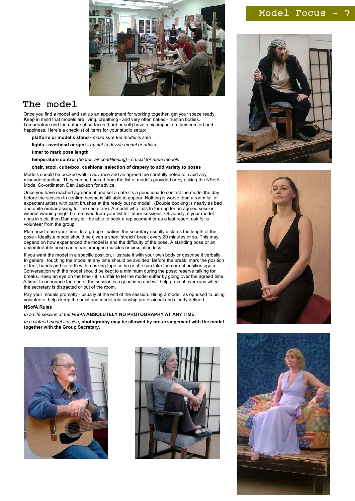

# The model

Once you find a model and set up an appointment for working together, get your space ready. Keep in mind that models are living, breathing - and very often naked - human bodies. Temperature and the nature of surfaces (hard or soft) have a big impact on their comfort and happiness. Here's a checklist of items for your studio setup:

- **platform or model's stand -** *make sure the model is safe*
- **lights overhead or spot** *try not to dazzle model or artists*
- **timer to mark pose length**
- **temperature control** *(heater, air conditioning) crucial for nude models*

#### **chair, stool, cube/box, cushions, selection of drapery to add variety to poses**

Models should be booked well in advance and an agreed fee carefully noted to avoid any misunderstanding. They can be booked from the list of models provided or by asking the NSofA Model Co-ordinator, Dan Jackson for advice.

Once you have reached agreement and set a date it's a good idea to contact the model the day before the session to confirm he/she is still able to appear. Nothing is worse than a room full of expectant artists with paint brushes at the ready but no model! (Double booking is nearly as bad and quite embarrassing for the secretary). A model who fails to turn up for an agreed session without warning might be removed from your list for future sessions. Obviously, if your model rings in sick, then Dan may still be able to book a replacement or as a last resort, ask for a volunteer from the group.

Plan how to use your time. In a group situation, the secretary usually dictates the length of the pose - Ideally a model should be given a short 'stretch' break every 20 minutes or so. This may depend on how experienced the model is and the difficulty of the pose. A standing pose or an uncomfortable pose can mean cramped muscles or circulation loss.

If you want the model in a specific position, illustrate it with your own body or describe it verbally. In general, touching the model at any time should be avoided. Before the break, mark the position of feet, hands and so forth with masking tape so he or she can take the correct position again. Conversation with the model should be kept to a minimum during the pose; reserve talking for breaks. Keep an eye on the time - it is unfair to let the model suffer by going over the agreed time. A timer to announce the end of the session is a good idea and will help prevent over-runs when the secretary is distracted or out of the room.

Pay your models promptly - usually at the end of the session. Hiring a model, as opposed to using volunteers, helps keep the artist and model relationship professional and clearly defined.

#### **NSofA Rules**

*In a Life session at the NSofA* **ABSOLUTELY NO PHOTOGRAPHY AT ANY TIME.**

*In a clothed model session***, photography may be allowed by pre-arrangement with the model together with the Group Secretary.**





### Model Focus